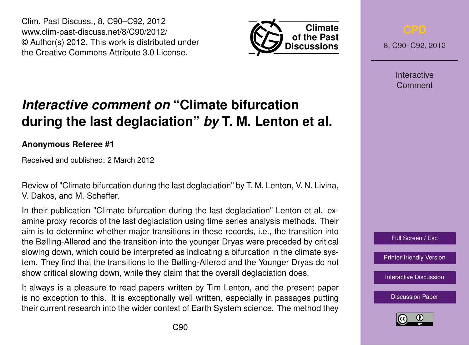Clim. Past Discuss., 8, C90–C92, 2012 www.clim-past-discuss.net/8/C90/2012/ © Author(s) 2012. This work is distributed under the Creative Commons Attribute 3.0 License.



8, C90–C92, 2012

**Interactive** Comment

### Full Screen / Esc

[Printer-friendly Version](http://www.clim-past-discuss.net/8/C90/2012/cpd-8-C90-2012-print.pdf)

[Interactive Discussion](http://www.clim-past-discuss.net/8/321/2012/cpd-8-321-2012-discussion.html)

[Discussion Paper](http://www.clim-past-discuss.net/8/321/2012/cpd-8-321-2012.pdf)



# *Interactive comment on* **"Climate bifurcation during the last deglaciation"** *by* **T. M. Lenton et al.**

## **Anonymous Referee #1**

Received and published: 2 March 2012

Review of "Climate bifurcation during the last deglaciation" by T. M. Lenton, V. N. Livina, V. Dakos, and M. Scheffer.

In their publication "Climate bifurcation during the last deglaciation" Lenton et al. examine proxy records of the last deglaciation using time series analysis methods. Their aim is to determine whether major transitions in these records, i.e., the transition into the Bølling-Allerød and the transition into the younger Dryas were preceded by critical slowing down, which could be interpreted as indicating a bifurcation in the climate system. They find that the transitions to the Bølling-Allerød and the Younger Dryas do not show critical slowing down, while they claim that the overall deglaciation does.

It always is a pleasure to read papers written by Tim Lenton, and the present paper is no exception to this. It is exceptionally well written, especially in passages putting their current research into the wider context of Earth System science. The method they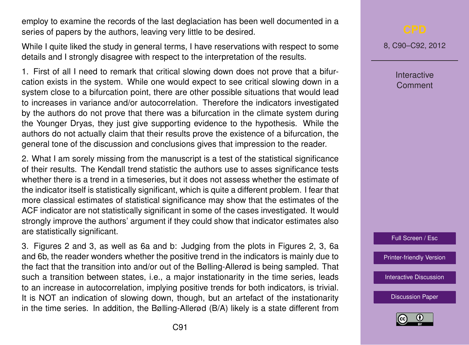employ to examine the records of the last deglaciation has been well documented in a series of papers by the authors, leaving very little to be desired.

While I quite liked the study in general terms, I have reservations with respect to some details and I strongly disagree with respect to the interpretation of the results.

1. First of all I need to remark that critical slowing down does not prove that a bifurcation exists in the system. While one would expect to see critical slowing down in a system close to a bifurcation point, there are other possible situations that would lead to increases in variance and/or autocorrelation. Therefore the indicators investigated by the authors do not prove that there was a bifurcation in the climate system during the Younger Dryas, they just give supporting evidence to the hypothesis. While the authors do not actually claim that their results prove the existence of a bifurcation, the general tone of the discussion and conclusions gives that impression to the reader.

2. What I am sorely missing from the manuscript is a test of the statistical significance of their results. The Kendall trend statistic the authors use to asses significance tests whether there is a trend in a timeseries, but it does not assess whether the estimate of the indicator itself is statistically significant, which is quite a different problem. I fear that more classical estimates of statistical significance may show that the estimates of the ACF indicator are not statistically significant in some of the cases investigated. It would strongly improve the authors' argument if they could show that indicator estimates also are statistically significant.

3. Figures 2 and 3, as well as 6a and b: Judging from the plots in Figures 2, 3, 6a and 6b, the reader wonders whether the positive trend in the indicators is mainly due to the fact that the transition into and/or out of the Bølling-Allerød is being sampled. That such a transition between states, i.e., a major instationarity in the time series, leads to an increase in autocorrelation, implying positive trends for both indicators, is trivial. It is NOT an indication of slowing down, though, but an artefact of the instationarity in the time series. In addition, the Bølling-Allerød (B/A) likely is a state different from

8, C90–C92, 2012

**Interactive** Comment



[Printer-friendly Version](http://www.clim-past-discuss.net/8/C90/2012/cpd-8-C90-2012-print.pdf)

[Interactive Discussion](http://www.clim-past-discuss.net/8/321/2012/cpd-8-321-2012-discussion.html)

[Discussion Paper](http://www.clim-past-discuss.net/8/321/2012/cpd-8-321-2012.pdf)